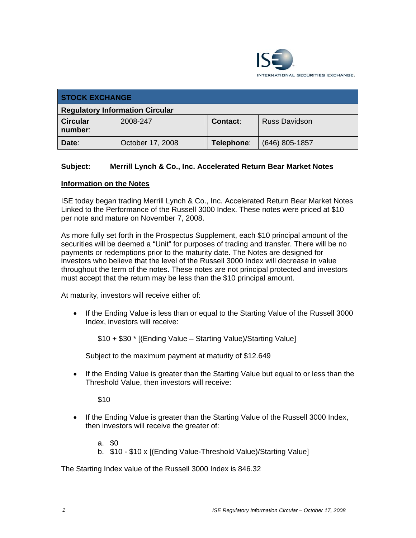

| <b>STOCK EXCHANGE</b>                  |                  |            |                      |  |  |
|----------------------------------------|------------------|------------|----------------------|--|--|
| <b>Regulatory Information Circular</b> |                  |            |                      |  |  |
| <b>Circular</b><br>number:             | 2008-247         | Contact:   | <b>Russ Davidson</b> |  |  |
| Date:                                  | October 17, 2008 | Telephone: | $(646)$ 805-1857     |  |  |

## **Subject: Merrill Lynch & Co., Inc. Accelerated Return Bear Market Notes**

## **Information on the Notes**

ISE today began trading Merrill Lynch & Co., Inc. Accelerated Return Bear Market Notes Linked to the Performance of the Russell 3000 Index. These notes were priced at \$10 per note and mature on November 7, 2008.

As more fully set forth in the Prospectus Supplement, each \$10 principal amount of the securities will be deemed a "Unit" for purposes of trading and transfer. There will be no payments or redemptions prior to the maturity date. The Notes are designed for investors who believe that the level of the Russell 3000 Index will decrease in value throughout the term of the notes. These notes are not principal protected and investors must accept that the return may be less than the \$10 principal amount.

At maturity, investors will receive either of:

• If the Ending Value is less than or equal to the Starting Value of the Russell 3000 Index, investors will receive:

\$10 + \$30 \* [(Ending Value – Starting Value)/Starting Value]

Subject to the maximum payment at maturity of \$12.649

• If the Ending Value is greater than the Starting Value but equal to or less than the Threshold Value, then investors will receive:

\$10

• If the Ending Value is greater than the Starting Value of the Russell 3000 Index, then investors will receive the greater of:

a. \$0

b. \$10 - \$10 x [(Ending Value-Threshold Value)/Starting Value]

The Starting Index value of the Russell 3000 Index is 846.32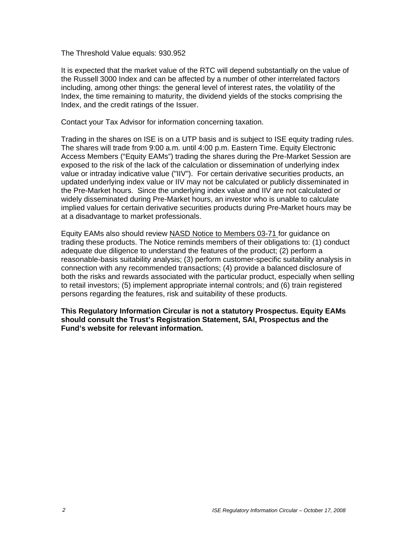The Threshold Value equals: 930.952

It is expected that the market value of the RTC will depend substantially on the value of the Russell 3000 Index and can be affected by a number of other interrelated factors including, among other things: the general level of interest rates, the volatility of the Index, the time remaining to maturity, the dividend yields of the stocks comprising the Index, and the credit ratings of the Issuer.

Contact your Tax Advisor for information concerning taxation.

Trading in the shares on ISE is on a UTP basis and is subject to ISE equity trading rules. The shares will trade from 9:00 a.m. until 4:00 p.m. Eastern Time. Equity Electronic Access Members ("Equity EAMs") trading the shares during the Pre-Market Session are exposed to the risk of the lack of the calculation or dissemination of underlying index value or intraday indicative value ("IIV"). For certain derivative securities products, an updated underlying index value or IIV may not be calculated or publicly disseminated in the Pre-Market hours. Since the underlying index value and IIV are not calculated or widely disseminated during Pre-Market hours, an investor who is unable to calculate implied values for certain derivative securities products during Pre-Market hours may be at a disadvantage to market professionals.

Equity EAMs also should review NASD Notice to Members 03-71 for guidance on trading these products. The Notice reminds members of their obligations to: (1) conduct adequate due diligence to understand the features of the product; (2) perform a reasonable-basis suitability analysis; (3) perform customer-specific suitability analysis in connection with any recommended transactions; (4) provide a balanced disclosure of both the risks and rewards associated with the particular product, especially when selling to retail investors; (5) implement appropriate internal controls; and (6) train registered persons regarding the features, risk and suitability of these products.

**This Regulatory Information Circular is not a statutory Prospectus. Equity EAMs should consult the Trust's Registration Statement, SAI, Prospectus and the Fund's website for relevant information.**